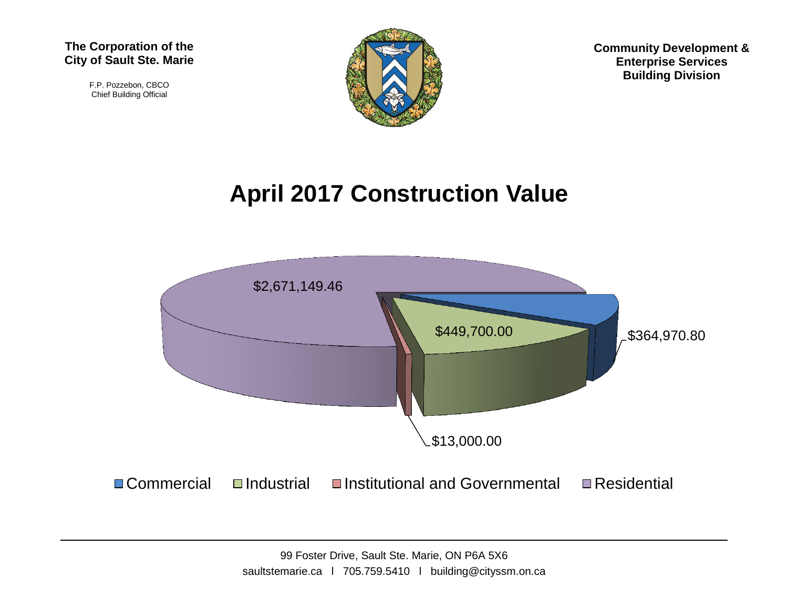F.P. Pozzebon, CBCO Chief Building Official



**Community Development & Enterprise Services Building Division**

## **April 2017 Construction Value**



99 Foster Drive, Sault Ste. Marie, ON P6A 5X6 saultstemarie.ca | 705.759.5410 | building@cityssm.on.ca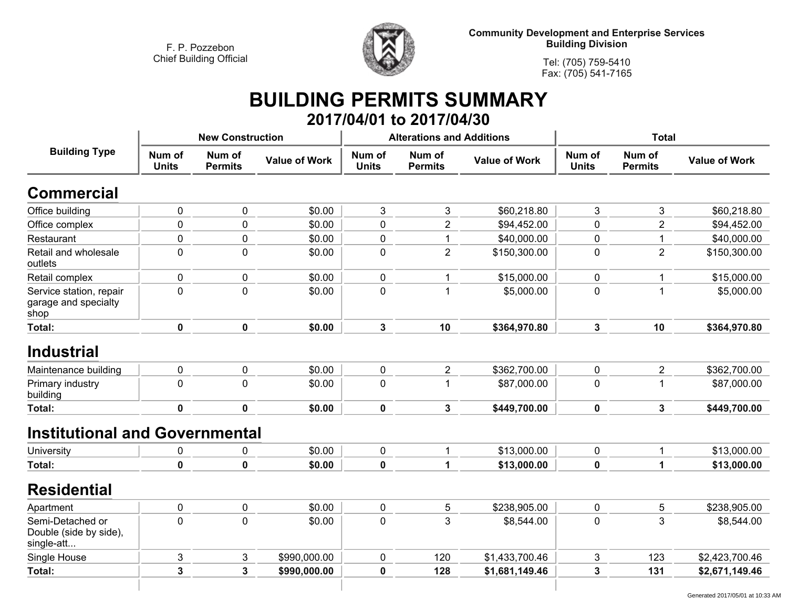

**Community Development and Enterprise Services Building Division**

**Tel: (705) 759-5410Fax: (705) 541-7165**

## **BUILDING PERMITS SUMMARY 2017/04/01 to 2017/04/30**

|                                                          |                        | <b>New Construction</b>  |                      |                        | <b>Alterations and Additions</b>                 |                | <b>Total</b>           |                          |                      |
|----------------------------------------------------------|------------------------|--------------------------|----------------------|------------------------|--------------------------------------------------|----------------|------------------------|--------------------------|----------------------|
| <b>Building Type</b>                                     | Num of<br><b>Units</b> | Num of<br><b>Permits</b> | <b>Value of Work</b> | Num of<br><b>Units</b> | Num of<br><b>Value of Work</b><br><b>Permits</b> |                | Num of<br><b>Units</b> | Num of<br><b>Permits</b> | <b>Value of Work</b> |
| <b>Commercial</b>                                        |                        |                          |                      |                        |                                                  |                |                        |                          |                      |
| Office building                                          | 0                      | 0                        | \$0.00               | 3                      | 3                                                | \$60,218.80    | 3                      | $\mathbf{3}$             | \$60,218.80          |
| Office complex                                           | $\mathbf 0$            | 0                        | \$0.00               | 0                      | $\overline{2}$                                   | \$94,452.00    | $\mathbf{0}$           | $\overline{2}$           | \$94,452.00          |
| Restaurant                                               | $\mathbf 0$            | 0                        | \$0.00               | 0                      | 1                                                | \$40,000.00    | $\boldsymbol{0}$       | $\mathbf{1}$             | \$40,000.00          |
| Retail and wholesale<br>outlets                          | $\mathbf 0$            | 0                        | \$0.00               | 0                      | $\overline{2}$                                   | \$150,300.00   | $\mathbf 0$            | $\overline{2}$           | \$150,300.00         |
| Retail complex                                           | 0                      | 0                        | \$0.00               | $\mathbf 0$            | 1                                                | \$15,000.00    | $\mathbf 0$            | 1                        | \$15,000.00          |
| Service station, repair<br>garage and specialty<br>shop  | $\mathbf 0$            | 0                        | \$0.00               | $\mathbf 0$            | 1                                                | \$5,000.00     | $\mathbf 0$            | $\mathbf{1}$             | \$5,000.00           |
| <b>Total:</b>                                            | $\mathbf 0$            | $\mathbf 0$              | \$0.00               | 3                      | 10                                               | \$364,970.80   | $\mathbf{3}$           | 10                       | \$364,970.80         |
| <b>Industrial</b>                                        |                        |                          |                      |                        |                                                  |                |                        |                          |                      |
| Maintenance building                                     | $\pmb{0}$              | 0                        | \$0.00               | $\mathbf 0$            | $\overline{2}$                                   | \$362,700.00   | $\mathbf 0$            | $\overline{2}$           | \$362,700.00         |
| Primary industry<br>building                             | $\mathbf 0$            | 0                        | \$0.00               | 0                      | $\mathbf{1}$                                     | \$87,000.00    | $\mathbf 0$            | $\mathbf{1}$             | \$87,000.00          |
| Total:                                                   | $\mathbf 0$            | $\mathbf 0$              | \$0.00               | $\mathbf 0$            | $\mathbf{3}$                                     | \$449,700.00   | $\mathbf 0$            | $\mathbf{3}$             | \$449,700.00         |
| <b>Institutional and Governmental</b>                    |                        |                          |                      |                        |                                                  |                |                        |                          |                      |
| University                                               | 0                      | 0                        | \$0.00               | 0                      | 1                                                | \$13,000.00    | 0                      | 1                        | \$13,000.00          |
| <b>Total:</b>                                            | $\mathbf 0$            | $\mathbf 0$              | \$0.00               | $\mathbf 0$            | 1                                                | \$13,000.00    | $\mathbf 0$            | $\mathbf{1}$             | \$13,000.00          |
| <b>Residential</b>                                       |                        |                          |                      |                        |                                                  |                |                        |                          |                      |
| Apartment                                                | $\pmb{0}$              | 0                        | \$0.00               | 0                      | 5                                                | \$238,905.00   | $\pmb{0}$              | $\mathbf 5$              | \$238,905.00         |
| Semi-Detached or<br>Double (side by side),<br>single-att | $\mathbf 0$            | 0                        | \$0.00               | $\mathbf 0$            | 3                                                | \$8,544.00     | $\mathbf 0$            | 3                        | \$8,544.00           |
| Single House                                             | 3                      | 3                        | \$990,000.00         | $\pmb{0}$              | 120                                              | \$1,433,700.46 | 3                      | 123                      | \$2,423,700.46       |
| Total:                                                   | 3                      | 3                        | \$990,000.00         | 0                      | 128                                              | \$1,681,149.46 | 3                      | 131                      | \$2,671,149.46       |
|                                                          |                        |                          |                      |                        |                                                  |                |                        |                          |                      |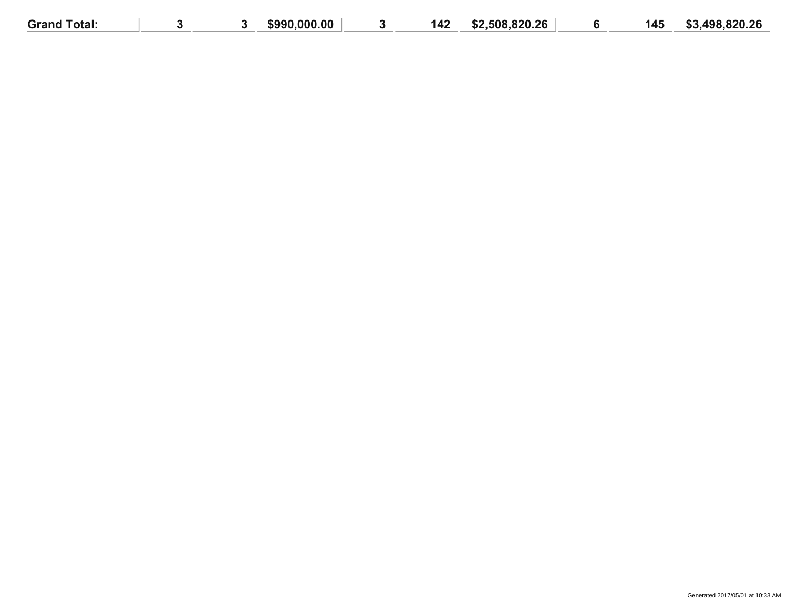| <b>Grand Total:</b> |  | .000.00<br>\$990 | 142 | \$2,508,820.26 | 145 | .498,820.26<br>e o |
|---------------------|--|------------------|-----|----------------|-----|--------------------|
|                     |  |                  |     |                |     |                    |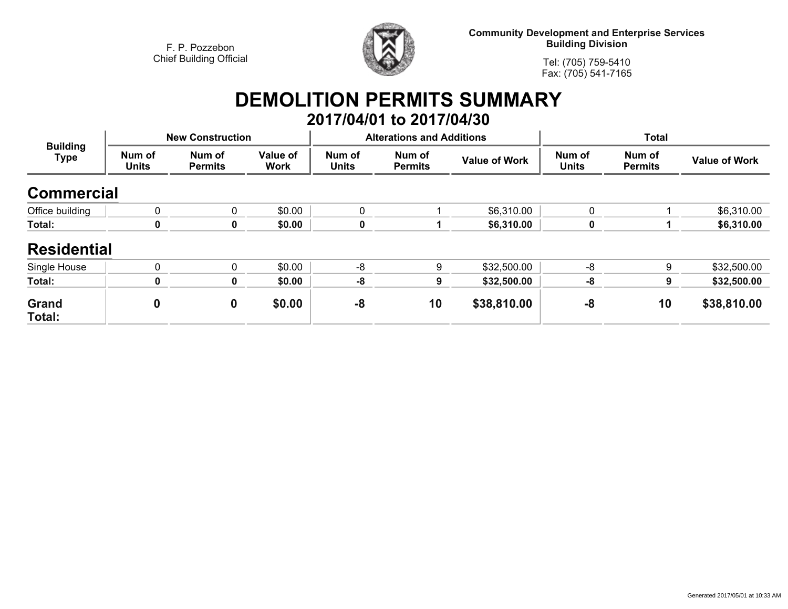

**Community Development and Enterprise Services Building Division**

**Tel: (705) 759-5410Fax: (705) 541-7165**

## **DEMOLITION PERMITS SUMMARY 2017/04/01 to 2017/04/30**

| <b>Building</b><br><b>Type</b> |                        | <b>New Construction</b>  |                         |                        | <b>Alterations and Additions</b> |                      | <b>Total</b>           |                          |                      |
|--------------------------------|------------------------|--------------------------|-------------------------|------------------------|----------------------------------|----------------------|------------------------|--------------------------|----------------------|
|                                | Num of<br><b>Units</b> | Num of<br><b>Permits</b> | Value of<br><b>Work</b> | Num of<br><b>Units</b> | Num of<br><b>Permits</b>         | <b>Value of Work</b> | Num of<br><b>Units</b> | Num of<br><b>Permits</b> | <b>Value of Work</b> |
| <b>Commercial</b>              |                        |                          |                         |                        |                                  |                      |                        |                          |                      |
| Office building                | $\mathbf{0}$           | 0                        | \$0.00                  | 0                      |                                  | \$6,310.00           | $\mathbf{0}$           |                          | \$6,310.00           |
| Total:                         | $\mathbf 0$            | 0                        | \$0.00                  | $\mathbf 0$            |                                  | \$6,310.00           | 0                      |                          | \$6,310.00           |
| <b>Residential</b>             |                        |                          |                         |                        |                                  |                      |                        |                          |                      |
| Single House                   | $\mathbf{0}$           | $\Omega$                 | \$0.00                  | $-8$                   | 9                                | \$32,500.00          | -8                     | 9                        | \$32,500.00          |
| Total:                         | $\mathbf 0$            | 0                        | \$0.00                  | $-8$                   | 9                                | \$32,500.00          | -8                     | 9                        | \$32,500.00          |
| <b>Grand</b><br>Total:         | 0                      | $\mathbf 0$              | \$0.00                  | -8                     | 10                               | \$38,810.00          | -8                     | 10                       | \$38,810.00          |